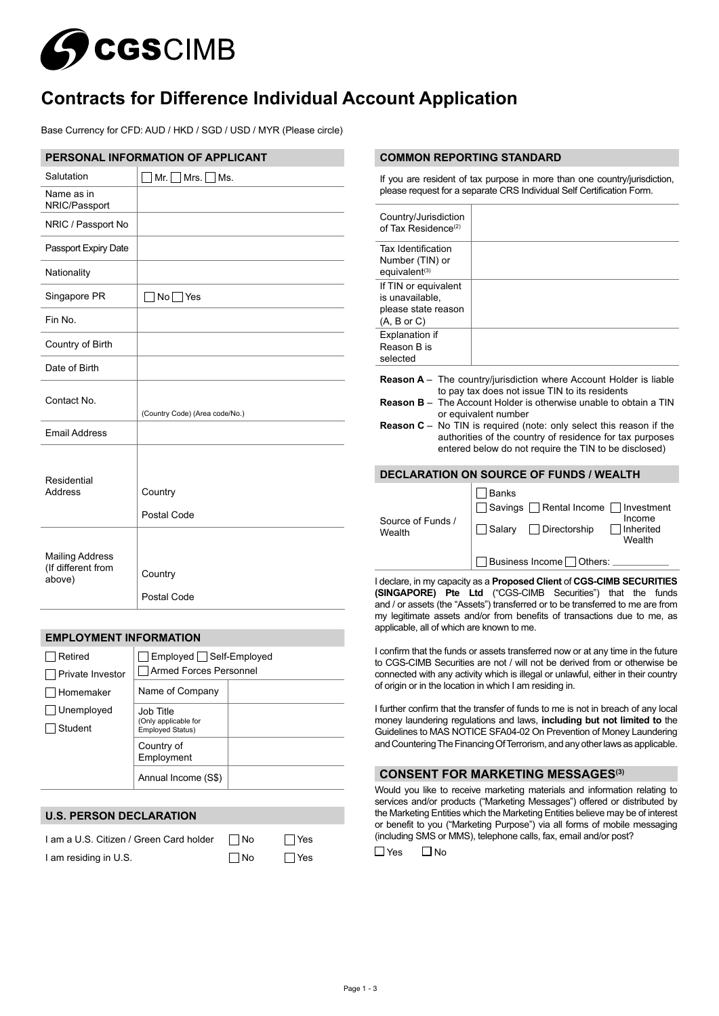

# **Contracts for Difference Individual Account Application**

Base Currency for CFD: AUD / HKD / SGD / USD / MYR (Please circle)

| PERSONAL INFORMATION OF APPLICANT                      |                                   |  |
|--------------------------------------------------------|-----------------------------------|--|
| Salutation                                             | $\Box$ Mr. $\Box$ Mrs. $\Box$ Ms. |  |
| Name as in<br>NRIC/Passport                            |                                   |  |
| NRIC / Passport No                                     |                                   |  |
| Passport Expiry Date                                   |                                   |  |
| Nationality                                            |                                   |  |
| Singapore PR                                           | $No \Box Yes$                     |  |
| Fin No.                                                |                                   |  |
| Country of Birth                                       |                                   |  |
| Date of Birth                                          |                                   |  |
| Contact No.                                            | (Country Code) (Area code/No.)    |  |
| <b>Email Address</b>                                   |                                   |  |
| Residential<br>Address                                 | Country<br>Postal Code            |  |
| <b>Mailing Address</b><br>(If different from<br>above) | Country<br>Postal Code            |  |

#### **EMPLOYMENT INFORMATION** Retired Private Investor **□**Homemaker □ Unemployed Student □ Employed □ Self-Employed Armed Forces Personnel Name of Company Job Title (Only applicable for Employed Status) Country of Employment Annual Income (S\$)

# **U.S. PERSON DECLARATION**

| I am a U.S. Citizen / Green Card holder | ∏ No | $\Box$ Yes |
|-----------------------------------------|------|------------|
| I am residing in U.S.                   | ∣ No | ∣ Yes      |

#### **COMMON REPORTING STANDARD**

If you are resident of tax purpose in more than one country/jurisdiction, please request for a separate CRS Individual Self Certification Form.

| Country/Jurisdiction<br>of Tax Residence <sup>(2)</sup>                                                                                                                                                                                                                                                                                                                                                                              |                                                                                                                                                   |  |  |  |
|--------------------------------------------------------------------------------------------------------------------------------------------------------------------------------------------------------------------------------------------------------------------------------------------------------------------------------------------------------------------------------------------------------------------------------------|---------------------------------------------------------------------------------------------------------------------------------------------------|--|--|--|
| Tax Identification<br>Number (TIN) or<br>equivalent <sup>(3)</sup>                                                                                                                                                                                                                                                                                                                                                                   |                                                                                                                                                   |  |  |  |
| If TIN or equivalent<br>is unavailable.<br>please state reason<br>(A, B or C)                                                                                                                                                                                                                                                                                                                                                        |                                                                                                                                                   |  |  |  |
| <b>Explanation if</b><br>Reason B is<br>selected                                                                                                                                                                                                                                                                                                                                                                                     |                                                                                                                                                   |  |  |  |
| <b>Reason A</b> – The country/jurisdiction where Account Holder is liable<br>to pay tax does not issue TIN to its residents<br><b>Reason B</b> $-$ The Account Holder is otherwise unable to obtain a TIN<br>or equivalent number<br><b>Reason C</b> – No TIN is required (note: only select this reason if the<br>authorities of the country of residence for tax purposes<br>entered below do not require the TIN to be disclosed) |                                                                                                                                                   |  |  |  |
| <b>DECLARATION ON SOURCE OF FUNDS / WEALTH</b>                                                                                                                                                                                                                                                                                                                                                                                       |                                                                                                                                                   |  |  |  |
| Source of Funds /<br>Wealth                                                                                                                                                                                                                                                                                                                                                                                                          | <b>Banks</b><br>  Rental Income<br>Investment<br>Savings<br>Income<br>Directorship<br>Inherited<br>Salary<br>Wealth<br>Business Income<br>Others: |  |  |  |

I declare, in my capacity as a **Proposed Client** of **CGS-CIMB SECURITIES (SINGAPORE) Pte Ltd** ("CGS-CIMB Securities") that the funds and / or assets (the "Assets") transferred or to be transferred to me are from my legitimate assets and/or from benefits of transactions due to me, as applicable, all of which are known to me.

I confirm that the funds or assets transferred now or at any time in the future to CGS-CIMB Securities are not / will not be derived from or otherwise be connected with any activity which is illegal or unlawful, either in their country of origin or in the location in which I am residing in.

I further confirm that the transfer of funds to me is not in breach of any local money laundering regulations and laws, **including but not limited to** the Guidelines to MAS NOTICE SFA04-02 On Prevention of Money Laundering and Countering The Financing Of Terrorism, and any other laws as applicable.

# **CONSENT FOR MARKETING MESSAGES(3)**

Would you like to receive marketing materials and information relating to services and/or products ("Marketing Messages") offered or distributed by the Marketing Entities which the Marketing Entities believe may be of interest or benefit to you ("Marketing Purpose") via all forms of mobile messaging (including SMS or MMS), telephone calls, fax, email and/or post?

 $\Box$ Yes  $\Box$ No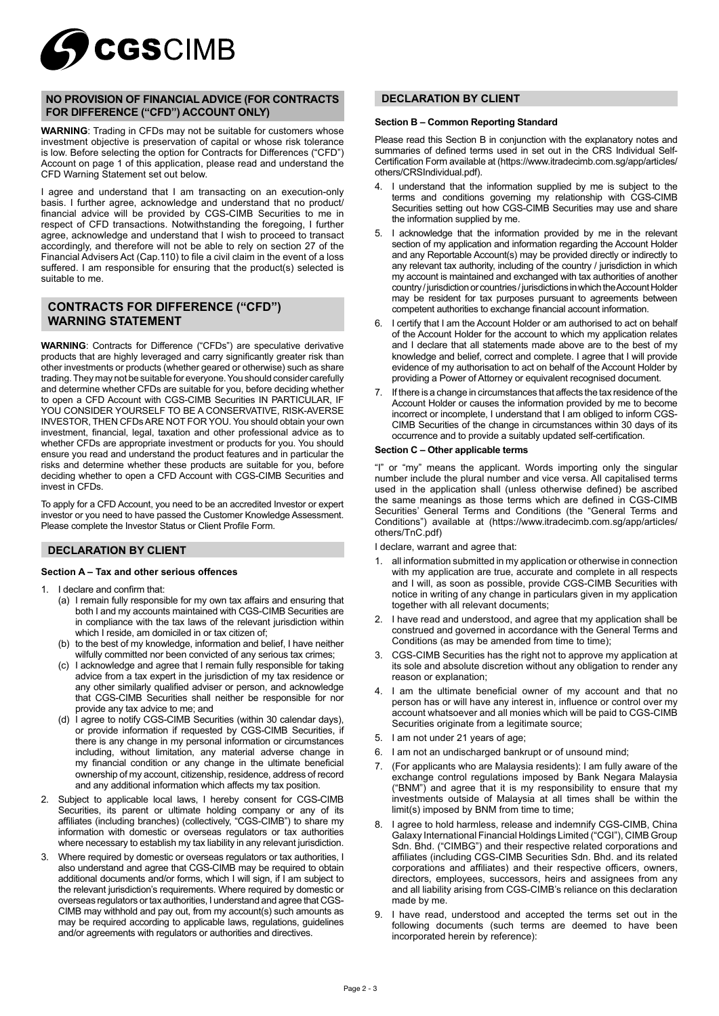

# **NO PROVISION OF FINANCIAL ADVICE (FOR CONTRACTS FOR DIFFERENCE ("CFD") ACCOUNT ONLY)**

**WARNING**: Trading in CFDs may not be suitable for customers whose investment objective is preservation of capital or whose risk tolerance is low. Before selecting the option for Contracts for Differences ("CFD") Account on page 1 of this application, please read and understand the CFD Warning Statement set out below.

I agree and understand that I am transacting on an execution-only basis. I further agree, acknowledge and understand that no product/ financial advice will be provided by CGS-CIMB Securities to me in respect of CFD transactions. Notwithstanding the foregoing, I further agree, acknowledge and understand that I wish to proceed to transact accordingly, and therefore will not be able to rely on section 27 of the Financial Advisers Act (Cap. 110) to file a civil claim in the event of a loss suffered. I am responsible for ensuring that the product(s) selected is suitable to me.

# **CONTRACTS FOR DIFFERENCE ("CFD") WARNING STATEMENT**

**WARNING**: Contracts for Difference ("CFDs") are speculative derivative products that are highly leveraged and carry significantly greater risk than other investments or products (whether geared or otherwise) such as share trading. They may not be suitable for everyone. You should consider carefully and determine whether CFDs are suitable for you, before deciding whether to open a CFD Account with CGS-CIMB Securities IN PARTICULAR, IF YOU CONSIDER YOURSELF TO BE A CONSERVATIVE, RISK-AVERSE INVESTOR, THEN CFDs ARE NOT FOR YOU. You should obtain your own investment, financial, legal, taxation and other professional advice as to whether CFDs are appropriate investment or products for you. You should ensure you read and understand the product features and in particular the risks and determine whether these products are suitable for you, before deciding whether to open a CFD Account with CGS-CIMB Securities and invest in CFDs.

To apply for a CFD Account, you need to be an accredited Investor or expert investor or you need to have passed the Customer Knowledge Assessment. Please complete the Investor Status or Client Profile Form.

# **DECLARATION BY CLIENT**

#### **Section A – Tax and other serious offences**

- I declare and confirm that:
	- (a) I remain fully responsible for my own tax affairs and ensuring that both I and my accounts maintained with CGS-CIMB Securities are in compliance with the tax laws of the relevant jurisdiction within which I reside, am domiciled in or tax citizen of;
	- (b) to the best of my knowledge, information and belief, I have neither wilfully committed nor been convicted of any serious tax crimes;
	- (c) I acknowledge and agree that I remain fully responsible for taking advice from a tax expert in the jurisdiction of my tax residence or any other similarly qualified adviser or person, and acknowledge that CGS-CIMB Securities shall neither be responsible for nor provide any tax advice to me; and
	- (d) I agree to notify CGS-CIMB Securities (within 30 calendar days), or provide information if requested by CGS-CIMB Securities, if there is any change in my personal information or circumstances including, without limitation, any material adverse change in molecally, which may be a position of any change in the ultimate beneficial ownership of my account, citizenship, residence, address of record and any additional information which affects my tax position.
- 2. Subject to applicable local laws, I hereby consent for CGS-CIMB Securities, its parent or ultimate holding company or any of its affiliates (including branches) (collectively, "CGS-CIMB") to share my information with domestic or overseas regulators or tax authorities where necessary to establish my tax liability in any relevant jurisdiction.
- 3. Where required by domestic or overseas regulators or tax authorities, I also understand and agree that CGS-CIMB may be required to obtain additional documents and/or forms, which I will sign, if I am subject to the relevant jurisdiction's requirements. Where required by domestic or overseas regulators or tax authorities, I understand and agree that CGS-CIMB may withhold and pay out, from my account(s) such amounts as may be required according to applicable laws, regulations, guidelines and/or agreements with regulators or authorities and directives.

# **DECLARATION BY CLIENT**

#### **Section B – Common Reporting Standard**

Please read this Section B in conjunction with the explanatory notes and summaries of defined terms used in set out in the CRS Individual Self-Certification Form available at (https://www.itradecimb.com.sg/app/articles/ others/CRSIndividual.pdf).

- 1 understand that the information supplied by me is subject to the terms and conditions governing my relationship with CGS-CIMB Securities setting out how CGS-CIMB Securities may use and share the information supplied by me.
- 5. I acknowledge that the information provided by me in the relevant section of my application and information regarding the Account Holder and any Reportable Account(s) may be provided directly or indirectly to any relevant tax authority, including of the country / jurisdiction in which my account is maintained and exchanged with tax authorities of another country / jurisdiction or countries / jurisdictions in which the Account Holder may be resident for tax purposes pursuant to agreements between competent authorities to exchange financial account information.
- 6. I certify that I am the Account Holder or am authorised to act on behalf of the Account Holder for the account to which my application relates and I declare that all statements made above are to the best of my knowledge and belief, correct and complete. I agree that I will provide evidence of my authorisation to act on behalf of the Account Holder by providing a Power of Attorney or equivalent recognised document.
- 7. If there is a change in circumstances that affects the tax residence of the Account Holder or causes the information provided by me to become incorrect or incomplete, I understand that I am obliged to inform CGS-CIMB Securities of the change in circumstances within 30 days of its occurrence and to provide a suitably updated self-certification.

#### **Section C – Other applicable terms**

"I" or "my" means the applicant. Words importing only the singular number include the plural number and vice versa. All capitalised terms used in the application shall (unless otherwise defined) be ascribed the same meanings as those terms which are defined in CGS-CIMB Securities' General Terms and Conditions (the "General Terms and Conditions") available at (https://www.itradecimb.com.sg/app/articles/ others/TnC.pdf)

I declare, warrant and agree that:

- 1. all information submitted in my application or otherwise in connection with my application are true, accurate and complete in all respects and I will, as soon as possible, provide CGS-CIMB Securities with notice in writing of any change in particulars given in my application together with all relevant documents;
- 2. I have read and understood, and agree that my application shall be construed and governed in accordance with the General Terms and Conditions (as may be amended from time to time);
- 3. CGS-CIMB Securities has the right not to approve my application at its sole and absolute discretion without any obligation to render any reason or explanation;
- 4. I am the ultimate beneficial owner of my account and that no person has or will have any interest in, influence or control over my account whatsoever and all monies which will be paid to CGS-CIMB Securities originate from a legitimate source;
- 5. I am not under 21 years of age;
- 6. I am not an undischarged bankrupt or of unsound mind;
- 7. (For applicants who are Malaysia residents): I am fully aware of the exchange control regulations imposed by Bank Negara Malaysia ("BNM") and agree that it is my responsibility to ensure that my investments outside of Malaysia at all times shall be within the limit(s) imposed by BNM from time to time;
- 8. I agree to hold harmless, release and indemnify CGS-CIMB, China Galaxy International Financial Holdings Limited ("CGI"), CIMB Group Sdn. Bhd. ("CIMBG") and their respective related corporations and affiliates (including CGS-CIMB Securities Sdn. Bhd. and its related corporations and affiliates) and their respective officers, owners, directors, employees, successors, heirs and assignees from any and all liability arising from CGS-CIMB's reliance on this declaration made by me.
- 9. I have read, understood and accepted the terms set out in the following documents (such terms are deemed to have been incorporated herein by reference):